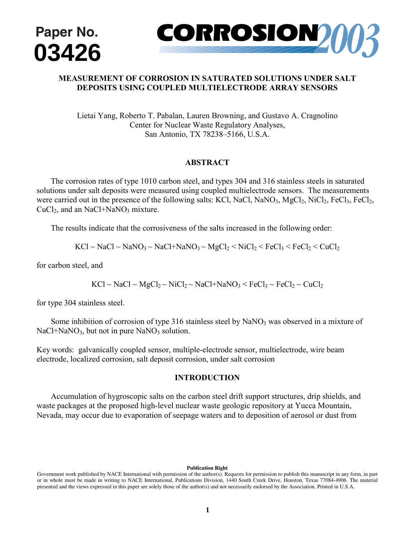



# **MEASUREMENT OF CORROSION IN SATURATED SOLUTIONS UNDER SALT DEPOSITS USING COUPLED MULTIELECTRODE ARRAY SENSORS**

Lietai Yang, Roberto T. Pabalan, Lauren Browning, and Gustavo A. Cragnolino Center for Nuclear Waste Regulatory Analyses, San Antonio, TX 78238–5166, U.S.A.

## **ABSTRACT**

 The corrosion rates of type 1010 carbon steel, and types 304 and 316 stainless steels in saturated solutions under salt deposits were measured using coupled multielectrode sensors. The measurements were carried out in the presence of the following salts: KCl, NaCl, NaNO<sub>3</sub>, MgCl<sub>2</sub>, NiCl<sub>2</sub>, FeCl<sub>3</sub>, FeCl<sub>2</sub>,  $CuCl<sub>2</sub>$ , and an NaCl+NaNO<sub>3</sub> mixture.

The results indicate that the corrosiveness of the salts increased in the following order:

$$
KCl \sim NaCl \sim NaNO_3 \sim NaCl + NaNO_3 \sim MgCl_2 \leq NiCl_2 \leq FeCl_3 \leq FeCl_2 \leq CuCl_2
$$

for carbon steel, and

 $KCl \sim NaCl \sim MgCl_2 \sim NiCl_2 \sim NaCl + NaNO_3 \leq FeCl_3 \sim FeCl_2 \sim CuCl_2$ 

for type 304 stainless steel.

Some inhibition of corrosion of type 316 stainless steel by  $\text{NaNO}_3$  was observed in a mixture of  $NaCl + NaNO<sub>3</sub>$ , but not in pure NaNO<sub>3</sub> solution.

Key words: galvanically coupled sensor, multiple-electrode sensor, multielectrode, wire beam electrode, localized corrosion, salt deposit corrosion, under salt corrosion

## **INTRODUCTION**

 Accumulation of hygroscopic salts on the carbon steel drift support structures, drip shields, and waste packages at the proposed high-level nuclear waste geologic repository at Yucca Mountain, Nevada, may occur due to evaporation of seepage waters and to deposition of aerosol or dust from  $2001$  by NACE international. Requests for permission this manuscript in  $\mathbf{r}$ 

#### **Publication Right**

Government work published by NACE International with permission of the author(s). Requests for permission to publish this manuscript in any form, in part or in whole must be made in writing to NACE International, Publications Division, 1440 South Creek Drive, Houston, Texas 77084-4906. The material presented and the views expressed in this paper are solely those of the author(s) and not necessarily endorsed by the Association. Printed in U.S.A.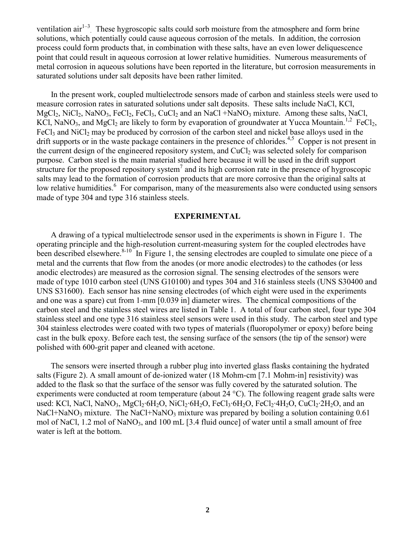ventilation  $\arctan^{-1-3}$ . These hygroscopic salts could sorb moisture from the atmosphere and form brine solutions, which potentially could cause aqueous corrosion of the metals. In addition, the corrosion process could form products that, in combination with these salts, have an even lower deliquescence point that could result in aqueous corrosion at lower relative humidities. Numerous measurements of metal corrosion in aqueous solutions have been reported in the literature, but corrosion measurements in saturated solutions under salt deposits have been rather limited.

 In the present work, coupled multielectrode sensors made of carbon and stainless steels were used to measure corrosion rates in saturated solutions under salt deposits. These salts include NaCl, KCl,  $MgCl<sub>2</sub>$ , NiCl<sub>2</sub>, NaNO<sub>3</sub>, FeCl<sub>2</sub>, FeCl<sub>3</sub>, CuCl<sub>2</sub> and an NaCl +NaNO<sub>3</sub> mixture. Among these salts, NaCl, KCl, NaNO<sub>3</sub>, and MgCl<sub>2</sub> are likely to form by evaporation of groundwater at Yucca Mountain.<sup>1,2</sup> FeCl<sub>2</sub>,  $FeCl<sub>3</sub>$  and NiCl<sub>2</sub> may be produced by corrosion of the carbon steel and nickel base alloys used in the drift supports or in the waste package containers in the presence of chlorides.<sup>4,5</sup> Copper is not present in the current design of the engineered repository system, and  $CuCl<sub>2</sub>$  was selected solely for comparison purpose. Carbon steel is the main material studied here because it will be used in the drift support structure for the proposed repository system<sup>7</sup> and its high corrosion rate in the presence of hygroscopic salts may lead to the formation of corrosion products that are more corrosive than the original salts at low relative humidities.<sup>6</sup> For comparison, many of the measurements also were conducted using sensors made of type 304 and type 316 stainless steels.

## **EXPERIMENTAL**

 A drawing of a typical multielectrode sensor used in the experiments is shown in Figure 1. The operating principle and the high-resolution current-measuring system for the coupled electrodes have been described elsewhere.<sup>8-10</sup> In Figure 1, the sensing electrodes are coupled to simulate one piece of a metal and the currents that flow from the anodes (or more anodic electrodes) to the cathodes (or less anodic electrodes) are measured as the corrosion signal. The sensing electrodes of the sensors were made of type 1010 carbon steel (UNS G10100) and types 304 and 316 stainless steels (UNS S30400 and UNS S31600). Each sensor has nine sensing electrodes (of which eight were used in the experiments and one was a spare) cut from 1-mm [0.039 in] diameter wires. The chemical compositions of the carbon steel and the stainless steel wires are listed in Table 1. A total of four carbon steel, four type 304 stainless steel and one type 316 stainless steel sensors were used in this study. The carbon steel and type 304 stainless electrodes were coated with two types of materials (fluoropolymer or epoxy) before being cast in the bulk epoxy. Before each test, the sensing surface of the sensors (the tip of the sensor) were polished with 600-grit paper and cleaned with acetone.

 The sensors were inserted through a rubber plug into inverted glass flasks containing the hydrated salts (Figure 2). A small amount of de-ionized water (18 Mohm-cm [7.1 Mohm-in] resistivity) was added to the flask so that the surface of the sensor was fully covered by the saturated solution. The experiments were conducted at room temperature (about 24 °C). The following reagent grade salts were used: KCl, NaCl, NaNO<sub>3</sub>, MgCl<sub>2</sub>·6H<sub>2</sub>O, NiCl<sub>2</sub>·6H<sub>2</sub>O, FeCl<sub>3</sub>·6H<sub>2</sub>O, FeCl<sub>2</sub>·4H<sub>2</sub>O, CuCl<sub>2</sub>·2H<sub>2</sub>O, and an NaCl+NaNO<sub>3</sub> mixture. The NaCl+NaNO<sub>3</sub> mixture was prepared by boiling a solution containing 0.61 mol of NaCl,  $1.2$  mol of NaNO<sub>3</sub>, and  $100$  mL [3.4 fluid ounce] of water until a small amount of free water is left at the bottom.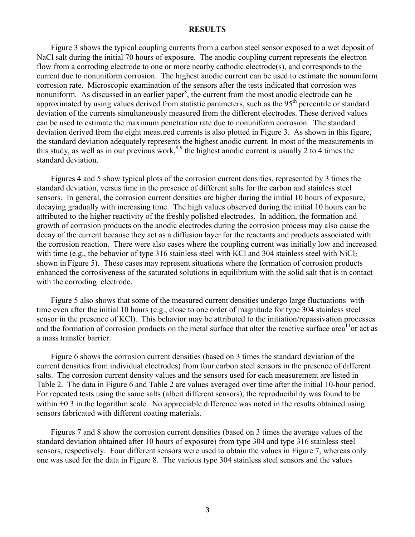## **RESULTS**

 Figure 3 shows the typical coupling currents from a carbon steel sensor exposed to a wet deposit of NaCl salt during the initial 70 hours of exposure. The anodic coupling current represents the electron flow from a corroding electrode to one or more nearby cathodic electrode(s), and corresponds to the current due to nonuniform corrosion. The highest anodic current can be used to estimate the nonuniform corrosion rate. Microscopic examination of the sensors after the tests indicated that corrosion was nonuniform. As discussed in an earlier paper<sup>8</sup>, the current from the most anodic electrode can be approximated by using values derived from statistic parameters, such as the 95<sup>th</sup> percentile or standard deviation of the currents simultaneously measured from the different electrodes. These derived values can be used to estimate the maximum penetration rate due to nonuniform corrosion. The standard deviation derived from the eight measured currents is also plotted in Figure 3. As shown in this figure, the standard deviation adequately represents the highest anodic current. In most of the measurements in this study, as well as in our previous work,  $8.9$  the highest anodic current is usually 2 to 4 times the standard deviation.

 Figures 4 and 5 show typical plots of the corrosion current densities, represented by 3 times the standard deviation, versus time in the presence of different salts for the carbon and stainless steel sensors. In general, the corrosion current densities are higher during the initial 10 hours of exposure, decaying gradually with increasing time. The high values observed during the initial 10 hours can be attributed to the higher reactivity of the freshly polished electrodes. In addition, the formation and growth of corrosion products on the anodic electrodes during the corrosion process may also cause the decay of the current because they act as a diffusion layer for the reactants and products associated with the corrosion reaction. There were also cases where the coupling current was initially low and increased with time (e.g., the behavior of type 316 stainless steel with KCl and 304 stainless steel with  $NiCl<sub>2</sub>$ shown in Figure 5). These cases may represent situations where the formation of corrosion products enhanced the corrosiveness of the saturated solutions in equilibrium with the solid salt that is in contact with the corroding electrode.

 Figure 5 also shows that some of the measured current densities undergo large fluctuations with time even after the initial 10 hours (e.g., close to one order of magnitude for type 304 stainless steel sensor in the presence of KCl). This behavior may be attributed to the initiation/repassivation processes and the formation of corrosion products on the metal surface that alter the reactive surface area<sup>11</sup>or act as a mass transfer barrier.

 Figure 6 shows the corrosion current densities (based on 3 times the standard deviation of the current densities from individual electrodes) from four carbon steel sensors in the presence of different salts. The corrosion current density values and the sensors used for each measurement are listed in Table 2. The data in Figure 6 and Table 2 are values averaged over time after the initial 10-hour period. For repeated tests using the same salts (albeit different sensors), the reproducibility was found to be within  $\pm 0.3$  in the logarithm scale. No appreciable difference was noted in the results obtained using sensors fabricated with different coating materials.

 Figures 7 and 8 show the corrosion current densities (based on 3 times the average values of the standard deviation obtained after 10 hours of exposure) from type 304 and type 316 stainless steel sensors, respectively. Four different sensors were used to obtain the values in Figure 7, whereas only one was used for the data in Figure 8. The various type 304 stainless steel sensors and the values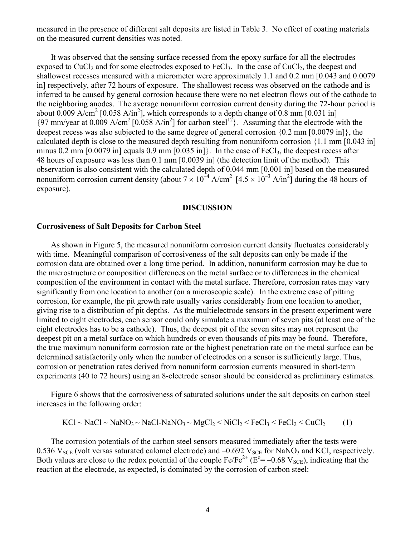measured in the presence of different salt deposits are listed in Table 3. No effect of coating materials on the measured current densities was noted.

 It was observed that the sensing surface recessed from the epoxy surface for all the electrodes exposed to CuCl<sub>2</sub> and for some electrodes exposed to FeCl<sub>3</sub>. In the case of CuCl<sub>2</sub>, the deepest and shallowest recesses measured with a micrometer were approximately 1.1 and 0.2 mm [0.043 and 0.0079 in] respectively, after 72 hours of exposure. The shallowest recess was observed on the cathode and is inferred to be caused by general corrosion because there were no net electron flows out of the cathode to the neighboring anodes. The average nonuniform corrosion current density during the 72-hour period is about 0.009 A/cm<sup>2</sup> [0.058 A/in<sup>2</sup>], which corresponds to a depth change of 0.8 mm [0.031 in]  ${97 \text{ mm}}$ /year at 0.009 A/cm<sup>2</sup> [0.058 A/in<sup>2</sup>] for carbon steel<sup>12</sup>}. Assuming that the electrode with the deepest recess was also subjected to the same degree of general corrosion {0.2 mm [0.0079 in]}, the calculated depth is close to the measured depth resulting from nonuniform corrosion {1.1 mm [0.043 in] minus 0.2 mm  $[0.0079$  in] equals 0.9 mm  $[0.035$  in]. In the case of FeCl<sub>3</sub>, the deepest recess after 48 hours of exposure was less than 0.1 mm [0.0039 in] (the detection limit of the method). This observation is also consistent with the calculated depth of 0.044 mm [0.001 in] based on the measured nonuniform corrosion current density (about  $7 \times 10^{-4}$  A/cm<sup>2</sup> [4.5  $\times 10^{-3}$  A/in<sup>2</sup>] during the 48 hours of exposure).

### **DISCUSSION**

### **Corrosiveness of Salt Deposits for Carbon Steel**

 As shown in Figure 5, the measured nonuniform corrosion current density fluctuates considerably with time. Meaningful comparison of corrosiveness of the salt deposits can only be made if the corrosion data are obtained over a long time period. In addition, nonuniform corrosion may be due to the microstructure or composition differences on the metal surface or to differences in the chemical composition of the environment in contact with the metal surface. Therefore, corrosion rates may vary significantly from one location to another (on a microscopic scale). In the extreme case of pitting corrosion, for example, the pit growth rate usually varies considerably from one location to another, giving rise to a distribution of pit depths. As the multielectrode sensors in the present experiment were limited to eight electrodes, each sensor could only simulate a maximum of seven pits (at least one of the eight electrodes has to be a cathode). Thus, the deepest pit of the seven sites may not represent the deepest pit on a metal surface on which hundreds or even thousands of pits may be found. Therefore, the true maximum nonuniform corrosion rate or the highest penetration rate on the metal surface can be determined satisfactorily only when the number of electrodes on a sensor is sufficiently large. Thus, corrosion or penetration rates derived from nonuniform corrosion currents measured in short-term experiments (40 to 72 hours) using an 8-electrode sensor should be considered as preliminary estimates.

 Figure 6 shows that the corrosiveness of saturated solutions under the salt deposits on carbon steel increases in the following order:

$$
KCl \sim NaCl \sim NaNO_3 \sim NaCl-NaNO_3 \sim MgCl_2 \le NiCl_2 \le FeCl_3 \le FeCl_2 \le CuCl_2 \tag{1}
$$

 The corrosion potentials of the carbon steel sensors measured immediately after the tests were – 0.536  $V_{SCE}$  (volt versas saturated calomel electrode) and  $-0.692$   $V_{SCE}$  for NaNO<sub>3</sub> and KCl, respectively. Both values are close to the redox potential of the couple  $Fe/Fe^{2+} (E^{\circ} = -0.68 V_{SCE})$ , indicating that the reaction at the electrode, as expected, is dominated by the corrosion of carbon steel: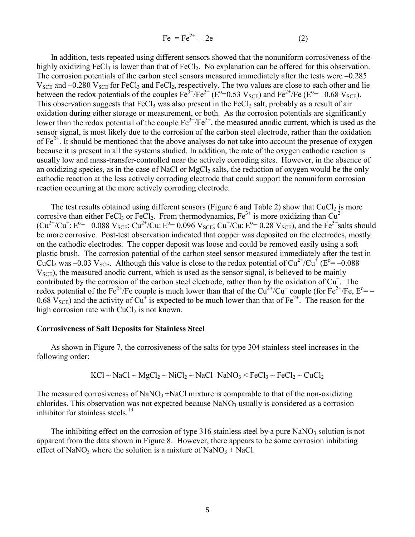$$
Fe = Fe^{2+} + 2e^{-}
$$
 (2)

 In addition, tests repeated using different sensors showed that the nonuniform corrosiveness of the highly oxidizing FeCl<sub>3</sub> is lower than that of FeCl<sub>2</sub>. No explanation can be offered for this observation. The corrosion potentials of the carbon steel sensors measured immediately after the tests were –0.285  $V_{SCE}$  and  $-0.280$   $V_{SCE}$  for FeCl<sub>3</sub> and FeCl<sub>2</sub>, respectively. The two values are close to each other and lie between the redox potentials of the couples  $Fe^{3+}/Fe^{2+}$  ( $E^{\circ}=0.53$  V<sub>SCE</sub>) and  $Fe^{2+}/Fe$  ( $E^{\circ}= -0.68$  V<sub>SCE</sub>). This observation suggests that  $FeCl<sub>3</sub>$  was also present in the  $FeCl<sub>2</sub>$  salt, probably as a result of air oxidation during either storage or measurement, or both. As the corrosion potentials are significantly lower than the redox potential of the couple  $Fe^{3+}/Fe^{2+}$ , the measured anodic current, which is used as the sensor signal, is most likely due to the corrosion of the carbon steel electrode, rather than the oxidation of  $Fe<sup>2+</sup>$ . It should be mentioned that the above analyses do not take into account the presence of oxygen because it is present in all the systems studied. In addition, the rate of the oxygen cathodic reaction is usually low and mass-transfer-controlled near the actively corroding sites. However, in the absence of an oxidizing species, as in the case of NaCl or MgCl<sub>2</sub> salts, the reduction of oxygen would be the only cathodic reaction at the less actively corroding electrode that could support the nonuniform corrosion reaction occurring at the more actively corroding electrode.

The test results obtained using different sensors (Figure 6 and Table 2) show that  $CuCl<sub>2</sub>$  is more corrosive than either FeCl<sub>3</sub> or FeCl<sub>2</sub>. From thermodynamics,  $Fe^{3+}$  is more oxidizing than Cu<sup>2+</sup>  $(Cu^{2+}/Cu^{+}$ : E<sup>o</sup>= -0.088 V<sub>SCE</sub>; Cu<sup>2+</sup>/Cu: E<sup>o</sup>= 0.096 V<sub>SCE</sub>; Cu<sup>+</sup>/Cu: E<sup>o</sup>= 0.28 V<sub>SCE</sub>), and the Fe<sup>3+</sup>salts should be more corrosive. Post-test observation indicated that copper was deposited on the electrodes, mostly on the cathodic electrodes. The copper deposit was loose and could be removed easily using a soft plastic brush. The corrosion potential of the carbon steel sensor measured immediately after the test in CuCl<sub>2</sub> was -0.03 V<sub>SCE</sub>. Although this value is close to the redox potential of Cu<sup>2+</sup>/Cu<sup>+</sup> (E<sup>o</sup>= -0.088  $V<sub>SCE</sub>$ ), the measured anodic current, which is used as the sensor signal, is believed to be mainly contributed by the corrosion of the carbon steel electrode, rather than by the oxidation of  $Cu<sup>+</sup>$ . The redox potential of the Fe<sup>2+</sup>/Fe couple is much lower than that of the  $Cu^{2+}/Cu^{+}$  couple (for Fe<sup>2+</sup>/Fe, E<sup>o</sup>= – 0.68  $\rm V_{\rm SCE}$ ) and the activity of Cu<sup>+</sup> is expected to be much lower than that of Fe<sup>2+</sup>. The reason for the high corrosion rate with  $CuCl<sub>2</sub>$  is not known.

#### **Corrosiveness of Salt Deposits for Stainless Steel**

 As shown in Figure 7, the corrosiveness of the salts for type 304 stainless steel increases in the following order:

$$
KCl \sim NaCl \sim MgCl_2 \sim NiCl_2 \sim NaCl + NaNO_3 \leq FeCl_3 \sim FeCl_2 \sim CuCl_2
$$

The measured corrosiveness of  $NaNO<sub>3</sub> + NaCl$  mixture is comparable to that of the non-oxidizing chlorides. This observation was not expected because NaNO<sub>3</sub> usually is considered as a corrosion inhibitor for stainless steels. $13$ 

The inhibiting effect on the corrosion of type 316 stainless steel by a pure  $NaNO<sub>3</sub>$  solution is not apparent from the data shown in Figure 8. However, there appears to be some corrosion inhibiting effect of NaNO<sub>3</sub> where the solution is a mixture of NaNO<sub>3</sub> + NaCl.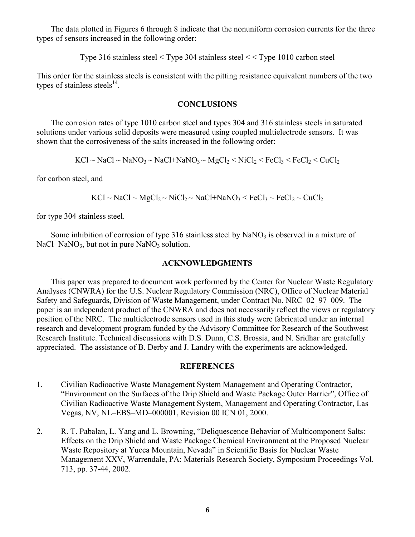The data plotted in Figures 6 through 8 indicate that the nonuniform corrosion currents for the three types of sensors increased in the following order:

Type 316 stainless steel < Type 304 stainless steel < < Type 1010 carbon steel

This order for the stainless steels is consistent with the pitting resistance equivalent numbers of the two types of stainless steels $^{14}$ .

## **CONCLUSIONS**

 The corrosion rates of type 1010 carbon steel and types 304 and 316 stainless steels in saturated solutions under various solid deposits were measured using coupled multielectrode sensors. It was shown that the corrosiveness of the salts increased in the following order:

 $KCl \sim NaCl \sim NaNO_3 \sim NaCl + NaNO_3 \sim MgCl_2 \leq NiCl_2 \leq FeCl_3 \leq FeCl_2 \leq CuCl_2$ 

for carbon steel, and

 $KCl \sim NaCl \sim MgCl_2 \sim NiCl_2 \sim NaCl + NaNO_3 \leq FeCl_3 \sim FeCl_2 \sim CuCl_2$ 

for type 304 stainless steel.

Some inhibition of corrosion of type 316 stainless steel by  $NaNO<sub>3</sub>$  is observed in a mixture of  $NaCl + NaNO<sub>3</sub>$ , but not in pure NaNO<sub>3</sub> solution.

## **ACKNOWLEDGMENTS**

 This paper was prepared to document work performed by the Center for Nuclear Waste Regulatory Analyses (CNWRA) for the U.S. Nuclear Regulatory Commission (NRC), Office of Nuclear Material Safety and Safeguards, Division of Waste Management, under Contract No. NRC–02–97–009. The paper is an independent product of the CNWRA and does not necessarily reflect the views or regulatory position of the NRC. The multielectrode sensors used in this study were fabricated under an internal research and development program funded by the Advisory Committee for Research of the Southwest Research Institute. Technical discussions with D.S. Dunn, C.S. Brossia, and N. Sridhar are gratefully appreciated. The assistance of B. Derby and J. Landry with the experiments are acknowledged.

## **REFERENCES**

- 1. Civilian Radioactive Waste Management System Management and Operating Contractor, "Environment on the Surfaces of the Drip Shield and Waste Package Outer Barrier", Office of Civilian Radioactive Waste Management System, Management and Operating Contractor, Las Vegas, NV, NL–EBS–MD–000001, Revision 00 ICN 01, 2000.
- 2. R. T. Pabalan, L. Yang and L. Browning, "Deliquescence Behavior of Multicomponent Salts: Effects on the Drip Shield and Waste Package Chemical Environment at the Proposed Nuclear Waste Repository at Yucca Mountain, Nevada" in Scientific Basis for Nuclear Waste Management XXV, Warrendale, PA: Materials Research Society, Symposium Proceedings Vol. 713, pp. 37-44, 2002.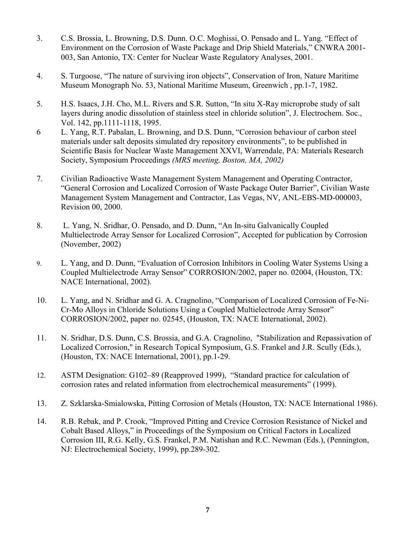- 3. C.S. Brossia, L. Browning, D.S. Dunn. O.C. Moghissi, O. Pensado and L. Yang. "Effect of Environment on the Corrosion of Waste Package and Drip Shield Materials," CNWRA 2001- 003, San Antonio, TX: Center for Nuclear Waste Regulatory Analyses, 2001.
- 4. S. Turgoose, "The nature of surviving iron objects", Conservation of Iron, Nature Maritime Museum Monograph No. 53, National Maritime Museum, Greenwich , pp.1-7, 1982.
- 5. H.S. Isaacs, J.H. Cho, M.L. Rivers and S.R. Sutton, "In situ X-Ray microprobe study of salt layers during anodic dissolution of stainless steel in chloride solution", J. Electrochem. Soc., Vol. 142, pp.1111-1118, 1995.
- 6 L. Yang, R.T. Pabalan, L. Browning, and D.S. Dunn, "Corrosion behaviour of carbon steel materials under salt deposits simulated dry repository environments", to be published in Scientific Basis for Nuclear Waste Management XXVI, Warrendale, PA: Materials Research Society, Symposium Proceedings *(MRS meeting, Boston, MA, 2002)*
- 7. Civilian Radioactive Waste Management System Management and Operating Contractor, "General Corrosion and Localized Corrosion of Waste Package Outer Barrier", Civilian Waste Management System Management and Contractor, Las Vegas, NV, ANL-EBS-MD-000003, Revision 00, 2000.
- 8. L. Yang, N. Sridhar, O. Pensado, and D. Dunn, "An In-situ Galvanically Coupled Multielectrode Array Sensor for Localized Corrosion", Accepted for publication by Corrosion (November, 2002)
- 9. L. Yang, and D. Dunn, "Evaluation of Corrosion Inhibitors in Cooling Water Systems Using a Coupled Multielectrode Array Sensor" CORROSION/2002, paper no. 02004, (Houston, TX: NACE International, 2002).
- 10. L. Yang, and N. Sridhar and G. A. Cragnolino, "Comparison of Localized Corrosion of Fe-Ni-Cr-Mo Alloys in Chloride Solutions Using a Coupled Multielectrode Array Sensor" CORROSION/2002, paper no. 02545, (Houston, TX: NACE International, 2002).
- 11. N. Sridhar, D.S. Dunn, C.S. Brossia, and G.A. Cragnolino, "Stabilization and Repassivation of Localized Corrosion," in Research Topical Symposium, G.S. Frankel and J.R. Scully (Eds.), (Houston, TX: NACE International, 2001), pp.1-29.
- 12. ASTM Designation: G102–89 (Reapproved 1999), "Standard practice for calculation of corrosion rates and related information from electrochemical measurements" (1999).
- 13. Z. Szklarska-Smialowska, Pitting Corrosion of Metals (Houston, TX: NACE International 1986).
- 14. R.B. Rebak, and P. Crook, "Improved Pitting and Crevice Corrosion Resistance of Nickel and Cobalt Based Alloys," in Proceedings of the Symposium on Critical Factors in Localized Corrosion III, R.G. Kelly, G.S. Frankel, P.M. Natishan and R.C. Newman (Eds.), (Pennington, NJ: Electrochemical Society, 1999), pp.289-302.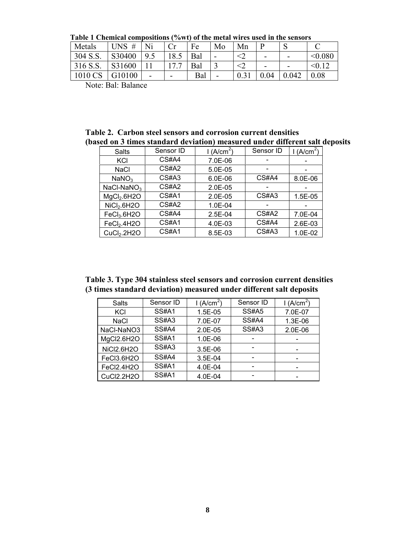**Table 1 Chemical compositions (%wt) of the metal wires used in the sensors**

| Metals         | #<br><b>UNS</b> | Ni |      | Fe  | Mo                       | Mn | D   | IJ    |            |
|----------------|-----------------|----|------|-----|--------------------------|----|-----|-------|------------|
| 304 S.S.       | S30400          | 9  | 18.5 | Bal | $\overline{\phantom{0}}$ |    | -   | -     | < 0.080    |
| 316 S.S.       | S31600          |    |      | Bal |                          |    | -   | -     | $\leq 0.1$ |
| 1010 CS        | G10100          | -  | -    | Bal | -                        |    | .04 | 0.042 | 0.08       |
| _ _ _ _<br>$-$ |                 |    |      |     |                          |    |     |       |            |

Note: Bal: Balance

**Table 2. Carbon steel sensors and corrosion current densities (based on 3 times standard deviation) measured under different salt deposits**

| Salts                   | Sensor ID | l (A/ $\mathsf{cm}^2$ ) | Sensor ID | (A/cm <sup>2</sup> ) |
|-------------------------|-----------|-------------------------|-----------|----------------------|
| KCI                     | CS#A4     | 7.0E-06                 |           |                      |
| <b>NaCl</b>             | CS#A2     | 5.0E-05                 |           |                      |
| NaNO <sub>3</sub>       | CS#A3     | $6.0E-06$               | CS#A4     | 8.0E-06              |
| $NaCl-NaNO3$            | CS#A2     | $2.0E-05$               |           |                      |
| MgCl <sub>2</sub> .6H2O | CS#A1     | $2.0E-05$               | CS#A3     | 1.5E-05              |
| NiCl <sub>2</sub> .6H2O | CS#A2     | 1.0E-04                 |           |                      |
| FeCl <sub>3</sub> .6H2O | CS#A4     | 2.5E-04                 | CS#A2     | 7.0E-04              |
| FeCl <sub>2</sub> .4H2O | CS#A1     | 4.0E-03                 | CS#A4     | 2.6E-03              |
| CuCl <sub>2</sub> .2H2O | CS#A1     | 8.5E-03                 | CS#A3     | 1.0E-02              |

**Table 3. Type 304 stainless steel sensors and corrosion current densities (3 times standard deviation) measured under different salt deposits**

| Salts             | Sensor ID    | 1 (A/cm <sup>2</sup> ) | Sensor ID    | 1(A/cm <sup>2</sup> ) |
|-------------------|--------------|------------------------|--------------|-----------------------|
| KCI               | <b>SS#A1</b> | 1.5E-05                | <b>SS#A5</b> | 7.0E-07               |
| <b>NaCl</b>       | SS#A3        | 7.0E-07                | <b>SS#A4</b> | 1.3E-06               |
| NaCl-NaNO3        | SS#A4        | 2.0E-05                | SS#A3        | 2.0E-06               |
| MgCl2.6H2O        | <b>SS#A1</b> | 1.0E-06                |              |                       |
| <b>NiCl2.6H2O</b> | SS#A3        | 3.5E-06                |              |                       |
| FeCl3.6H2O        | SS#A4        | 3.5E-04                |              |                       |
| FeCl2.4H2O        | <b>SS#A1</b> | 4.0E-04                |              |                       |
| CuCl2.2H2O        | <b>SS#A1</b> | 4.0E-04                |              |                       |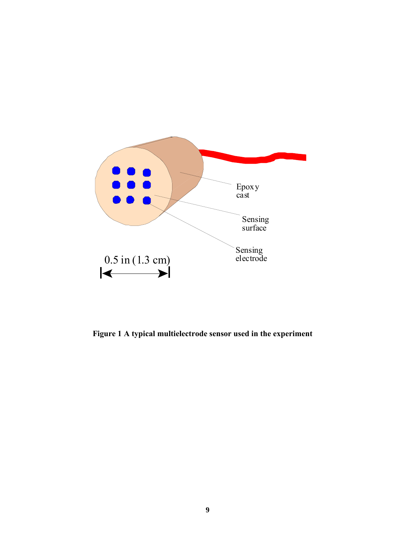

**Figure 1 A typical multielectrode sensor used in the experiment**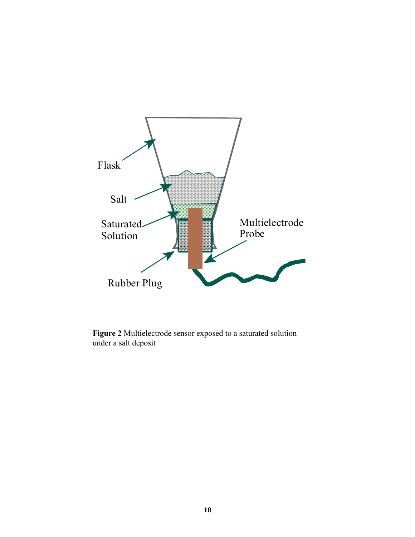

**Figure 2** Multielectrode sensor exposed to a saturated solution under a salt deposit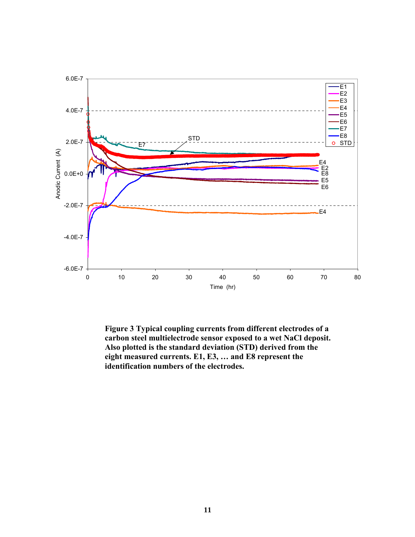

**Figure 3 Typical coupling currents from different electrodes of a carbon steel multielectrode sensor exposed to a wet NaCl deposit. Also plotted is the standard deviation (STD) derived from the eight measured currents. E1, E3, … and E8 represent the identification numbers of the electrodes.**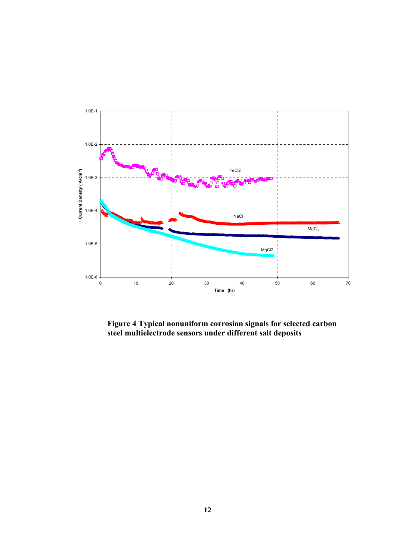

**Figure 4 Typical nonuniform corrosion signals for selected carbon steel multielectrode sensors under different salt deposits**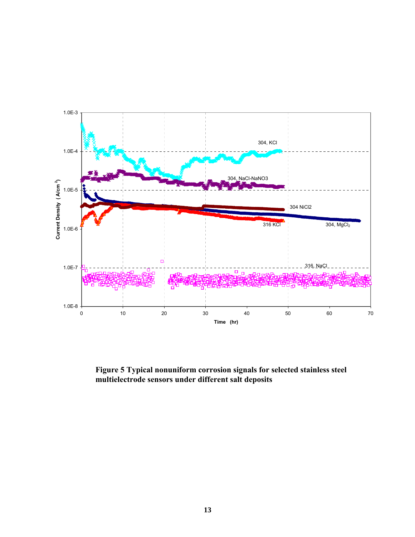

**Figure 5 Typical nonuniform corrosion signals for selected stainless steel multielectrode sensors under different salt deposits**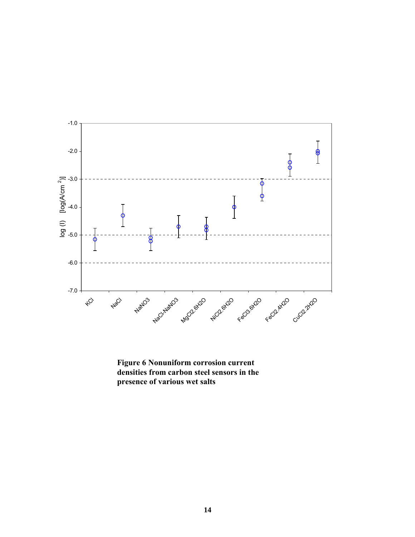

**Figure 6 Nonuniform corrosion current densities from carbon steel sensors in the presence of various wet salts**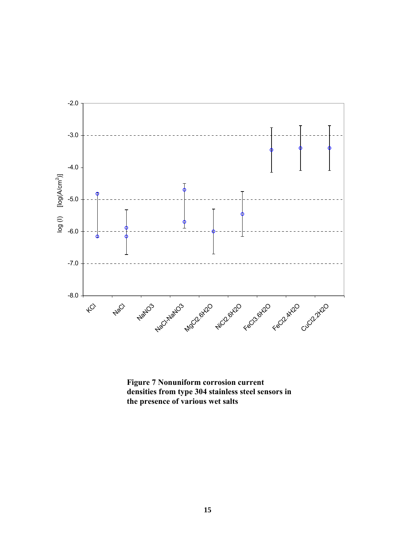